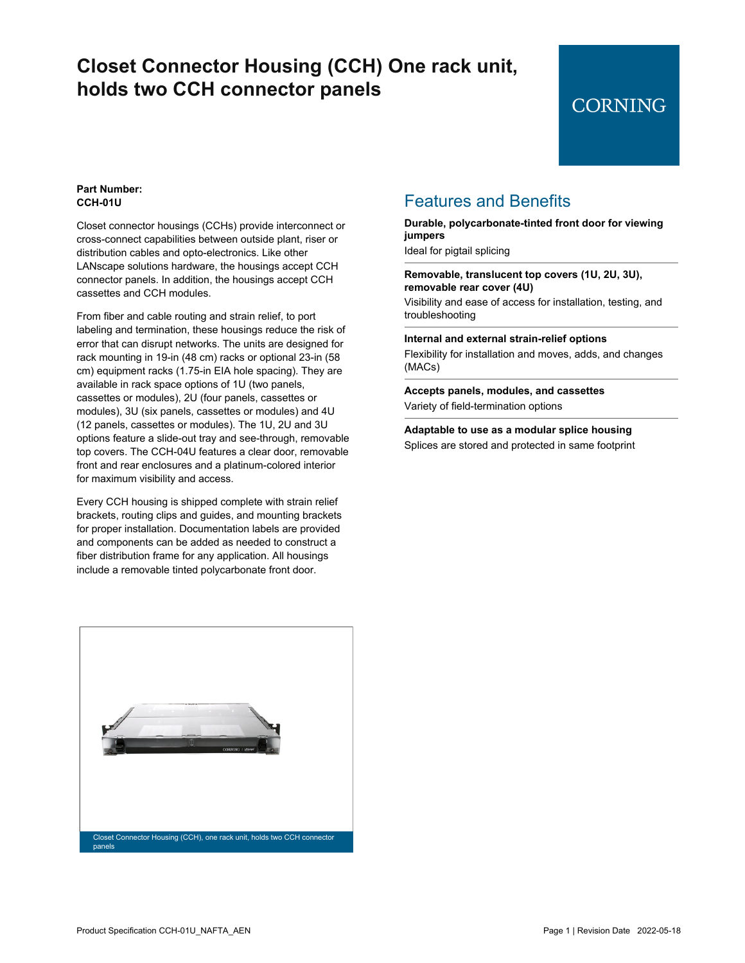### **Closet Connector Housing (CCH) One rack unit, holds two CCH connector panels**

### **CORNING**

### **Part Number: CCH-01U**

Closet connector housings (CCHs) provide interconnect or cross-connect capabilities between outside plant, riser or distribution cables and opto-electronics. Like other LANscape solutions hardware, the housings accept CCH connector panels. In addition, the housings accept CCH cassettes and CCH modules.

From fiber and cable routing and strain relief, to port labeling and termination, these housings reduce the risk of error that can disrupt networks. The units are designed for rack mounting in 19-in (48 cm) racks or optional 23-in (58 cm) equipment racks (1.75-in EIA hole spacing). They are available in rack space options of 1U (two panels, cassettes or modules), 2U (four panels, cassettes or modules), 3U (six panels, cassettes or modules) and 4U (12 panels, cassettes or modules). The 1U, 2U and 3U options feature a slide-out tray and see-through, removable top covers. The CCH-04U features a clear door, removable front and rear enclosures and a platinum-colored interior for maximum visibility and access.

Every CCH housing is shipped complete with strain relief brackets, routing clips and guides, and mounting brackets for proper installation. Documentation labels are provided and components can be added as needed to construct a fiber distribution frame for any application. All housings include a removable tinted polycarbonate front door.

Closet Connector Housing (CCH), one rack unit, holds two CCH connector panels

### Features and Benefits

#### **Durable, polycarbonate-tinted front door for viewing jumpers**

Ideal for pigtail splicing

#### **Removable, translucent top covers (1U, 2U, 3U), removable rear cover (4U)**

Visibility and ease of access for installation, testing, and troubleshooting

**Internal and external strain-relief options**

Flexibility for installation and moves, adds, and changes (MACs)

**Accepts panels, modules, and cassettes** Variety of field-termination options

**Adaptable to use as a modular splice housing** Splices are stored and protected in same footprint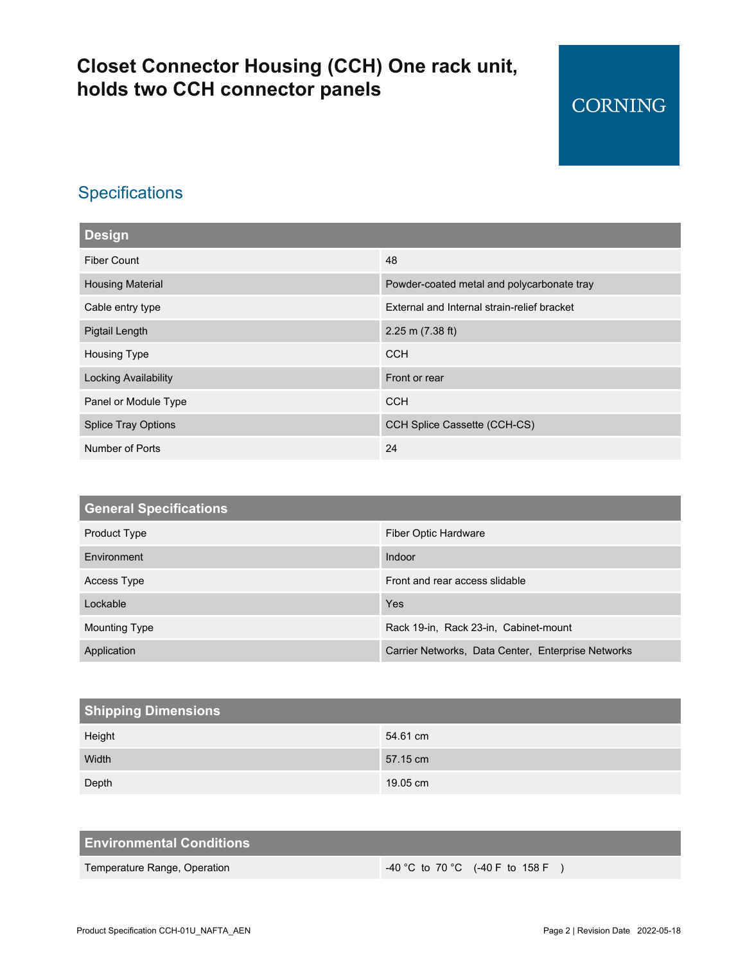# **Closet Connector Housing (CCH) One rack unit, holds two CCH connector panels**

### **Specifications**

| <b>Design</b>              |                                             |  |
|----------------------------|---------------------------------------------|--|
| <b>Fiber Count</b>         | 48                                          |  |
| <b>Housing Material</b>    | Powder-coated metal and polycarbonate tray  |  |
| Cable entry type           | External and Internal strain-relief bracket |  |
| Pigtail Length             | $2.25$ m (7.38 ft)                          |  |
| Housing Type               | <b>CCH</b>                                  |  |
| Locking Availability       | Front or rear                               |  |
| Panel or Module Type       | <b>CCH</b>                                  |  |
| <b>Splice Tray Options</b> | CCH Splice Cassette (CCH-CS)                |  |
| Number of Ports            | 24                                          |  |

| <b>General Specifications</b> |                                                    |
|-------------------------------|----------------------------------------------------|
| Product Type                  | Fiber Optic Hardware                               |
| Environment                   | Indoor                                             |
| Access Type                   | Front and rear access slidable                     |
| Lockable                      | Yes                                                |
| <b>Mounting Type</b>          | Rack 19-in, Rack 23-in, Cabinet-mount              |
| Application                   | Carrier Networks, Data Center, Enterprise Networks |

| <b>Shipping Dimensions</b> |          |  |
|----------------------------|----------|--|
| Height                     | 54.61 cm |  |
| Width                      | 57.15 cm |  |
| Depth                      | 19.05 cm |  |

| <b>Environmental Conditions</b> |                                                       |
|---------------------------------|-------------------------------------------------------|
| Temperature Range, Operation    | $-40\,^{\circ}$ C to 70 $^{\circ}$ C (-40 F to 158 F) |